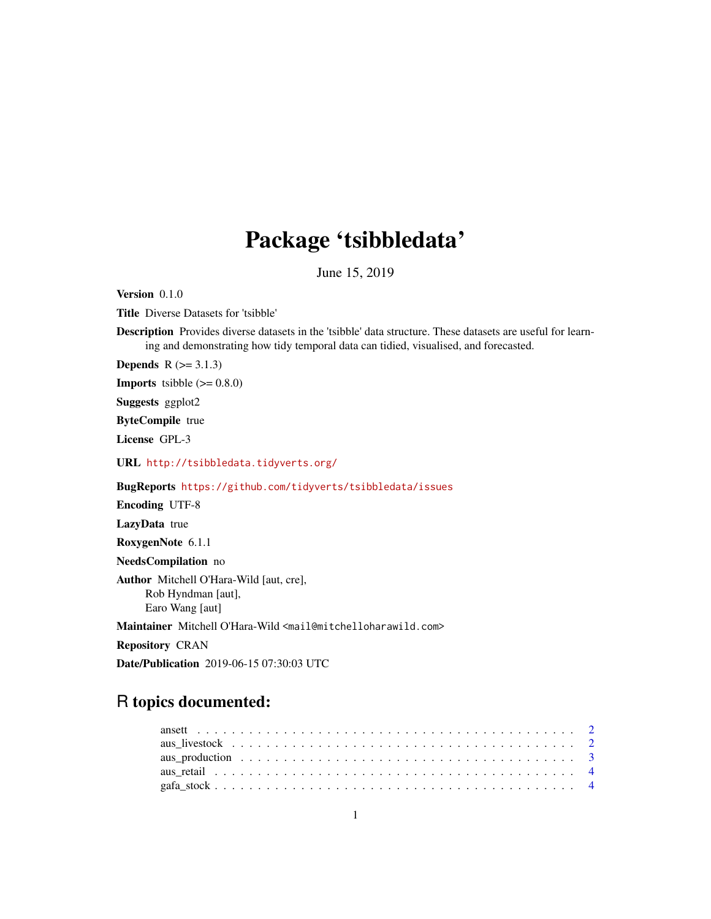# Package 'tsibbledata'

June 15, 2019

Version 0.1.0

Title Diverse Datasets for 'tsibble'

Description Provides diverse datasets in the 'tsibble' data structure. These datasets are useful for learning and demonstrating how tidy temporal data can tidied, visualised, and forecasted.

**Depends**  $R$  ( $>= 3.1.3$ )

**Imports** tsibble  $(>= 0.8.0)$ 

Suggests ggplot2

ByteCompile true

License GPL-3

URL <http://tsibbledata.tidyverts.org/>

BugReports <https://github.com/tidyverts/tsibbledata/issues>

Encoding UTF-8

LazyData true

RoxygenNote 6.1.1

NeedsCompilation no

Author Mitchell O'Hara-Wild [aut, cre], Rob Hyndman [aut], Earo Wang [aut]

Maintainer Mitchell O'Hara-Wild <mail@mitchelloharawild.com>

Repository CRAN

Date/Publication 2019-06-15 07:30:03 UTC

# R topics documented: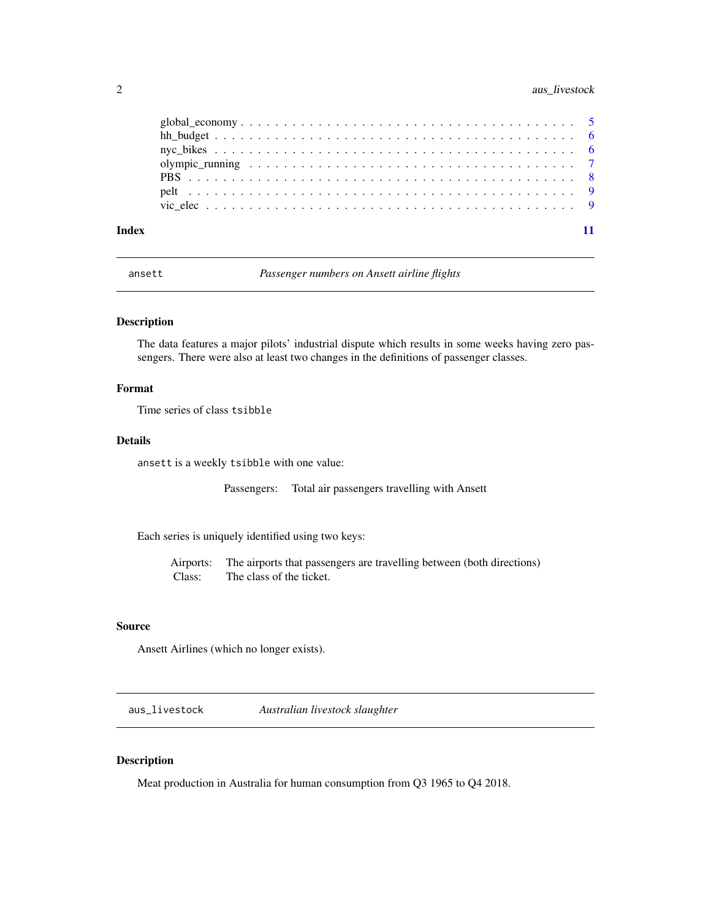# <span id="page-1-0"></span>2 aus\_livestock

ansett *Passenger numbers on Ansett airline flights*

#### Description

The data features a major pilots' industrial dispute which results in some weeks having zero passengers. There were also at least two changes in the definitions of passenger classes.

# Format

Time series of class tsibble

#### Details

ansett is a weekly tsibble with one value:

Passengers: Total air passengers travelling with Ansett

Each series is uniquely identified using two keys:

Airports: The airports that passengers are travelling between (both directions) Class: The class of the ticket.

# Source

Ansett Airlines (which no longer exists).

aus\_livestock *Australian livestock slaughter*

# Description

Meat production in Australia for human consumption from Q3 1965 to Q4 2018.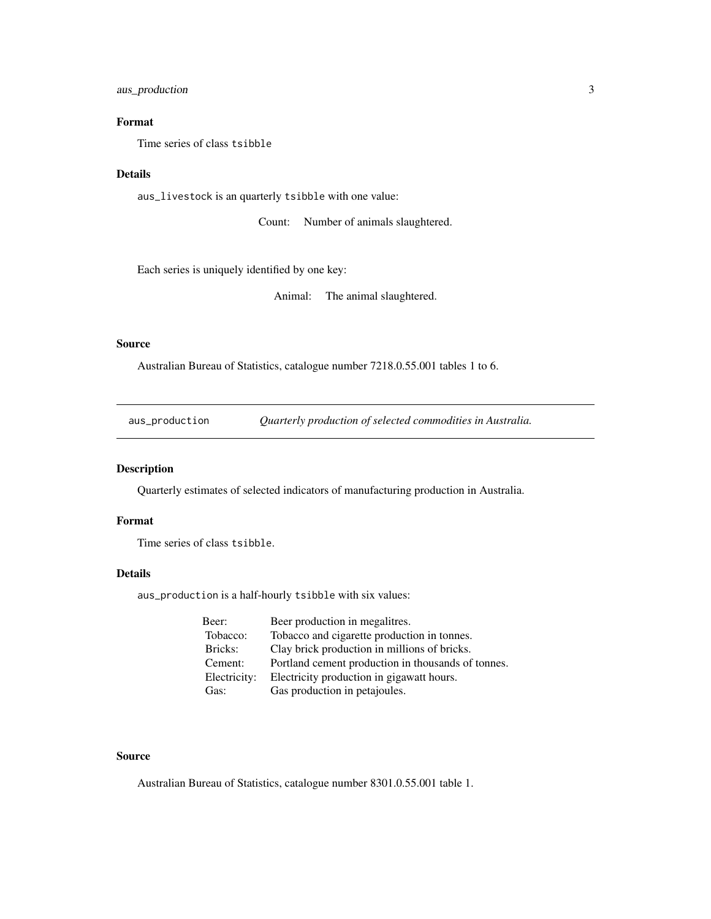<span id="page-2-0"></span>aus\_production 3

# Format

Time series of class tsibble

#### Details

aus\_livestock is an quarterly tsibble with one value:

Count: Number of animals slaughtered.

Each series is uniquely identified by one key:

Animal: The animal slaughtered.

#### Source

Australian Bureau of Statistics, catalogue number 7218.0.55.001 tables 1 to 6.

aus\_production *Quarterly production of selected commodities in Australia.*

# Description

Quarterly estimates of selected indicators of manufacturing production in Australia.

# Format

Time series of class tsibble.

# Details

aus\_production is a half-hourly tsibble with six values:

| Beer:        | Beer production in megalitres.                     |
|--------------|----------------------------------------------------|
| Tobacco:     | Tobacco and cigarette production in tonnes.        |
| Bricks:      | Clay brick production in millions of bricks.       |
| Cement:      | Portland cement production in thousands of tonnes. |
| Electricity: | Electricity production in gigawatt hours.          |
| Gas:         | Gas production in petajoules.                      |

#### Source

Australian Bureau of Statistics, catalogue number 8301.0.55.001 table 1.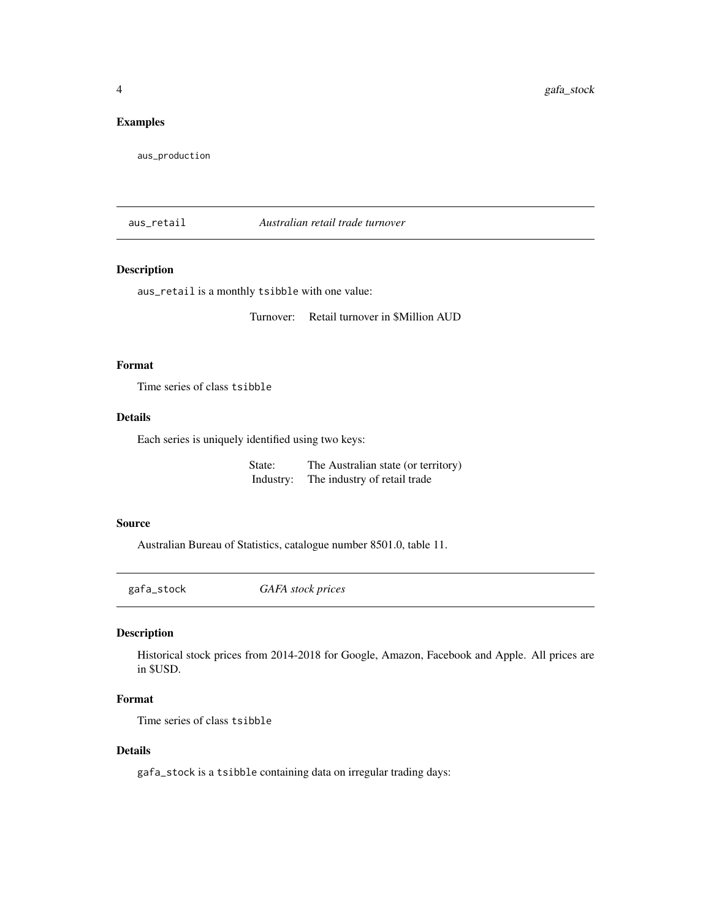# <span id="page-3-0"></span>Examples

aus\_production

aus\_retail *Australian retail trade turnover*

## Description

aus\_retail is a monthly tsibble with one value:

Turnover: Retail turnover in \$Million AUD

#### Format

Time series of class tsibble

#### Details

Each series is uniquely identified using two keys:

State: The Australian state (or territory) Industry: The industry of retail trade

#### Source

Australian Bureau of Statistics, catalogue number 8501.0, table 11.

gafa\_stock *GAFA stock prices*

# Description

Historical stock prices from 2014-2018 for Google, Amazon, Facebook and Apple. All prices are in \$USD.

### Format

Time series of class tsibble

#### Details

gafa\_stock is a tsibble containing data on irregular trading days: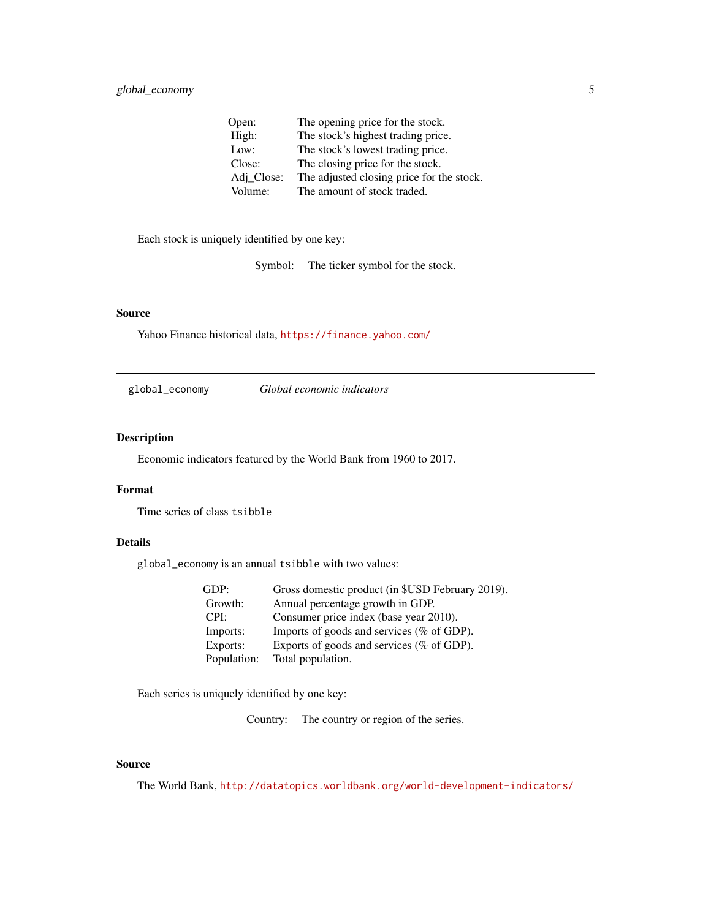# <span id="page-4-0"></span>global\_economy 5

| Open:      | The opening price for the stock.          |
|------------|-------------------------------------------|
| High:      | The stock's highest trading price.        |
| Low:       | The stock's lowest trading price.         |
| Close:     | The closing price for the stock.          |
| Adj_Close: | The adjusted closing price for the stock. |
| Volume:    | The amount of stock traded.               |

Each stock is uniquely identified by one key:

Symbol: The ticker symbol for the stock.

# Source

Yahoo Finance historical data, <https://finance.yahoo.com/>

global\_economy *Global economic indicators*

#### Description

Economic indicators featured by the World Bank from 1960 to 2017.

#### Format

Time series of class tsibble

# Details

global\_economy is an annual tsibble with two values:

| GDP:        | Gross domestic product (in \$USD February 2019). |
|-------------|--------------------------------------------------|
| Growth:     | Annual percentage growth in GDP.                 |
| CPI:        | Consumer price index (base year 2010).           |
| Imports:    | Imports of goods and services (% of GDP).        |
| Exports:    | Exports of goods and services (% of GDP).        |
| Population: | Total population.                                |

Each series is uniquely identified by one key:

Country: The country or region of the series.

# Source

The World Bank, <http://datatopics.worldbank.org/world-development-indicators/>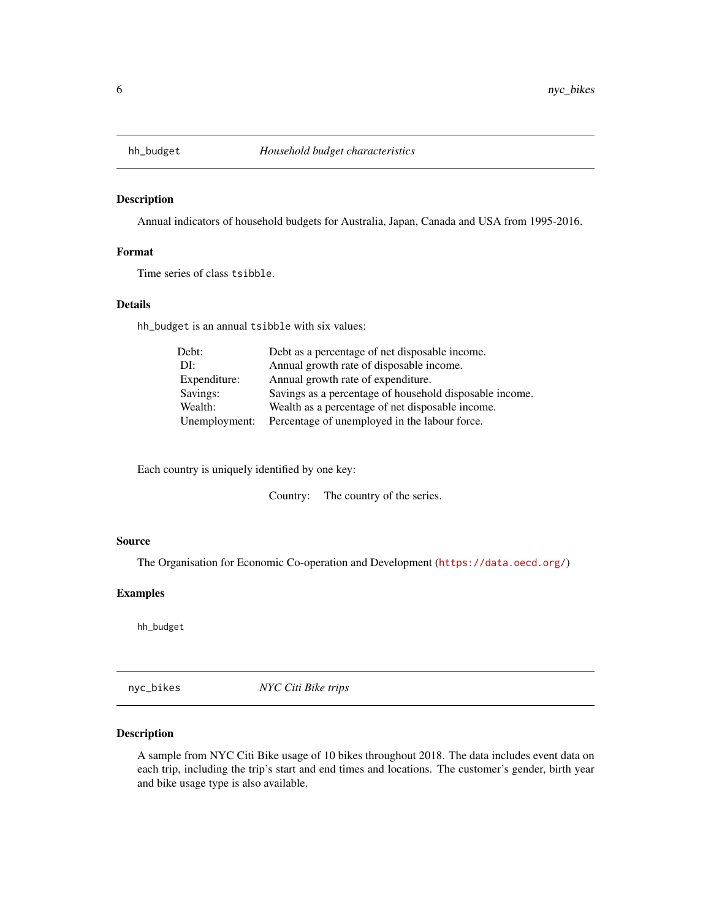<span id="page-5-0"></span>

# Description

Annual indicators of household budgets for Australia, Japan, Canada and USA from 1995-2016.

### Format

Time series of class tsibble.

#### Details

hh\_budget is an annual tsibble with six values:

| Debt:         | Debt as a percentage of net disposable income.          |
|---------------|---------------------------------------------------------|
| DI:           | Annual growth rate of disposable income.                |
| Expenditure:  | Annual growth rate of expenditure.                      |
| Savings:      | Savings as a percentage of household disposable income. |
| Wealth:       | Wealth as a percentage of net disposable income.        |
| Unemployment: | Percentage of unemployed in the labour force.           |

Each country is uniquely identified by one key:

Country: The country of the series.

#### Source

The Organisation for Economic Co-operation and Development (<https://data.oecd.org/>)

# Examples

hh\_budget

nyc\_bikes *NYC Citi Bike trips*

# Description

A sample from NYC Citi Bike usage of 10 bikes throughout 2018. The data includes event data on each trip, including the trip's start and end times and locations. The customer's gender, birth year and bike usage type is also available.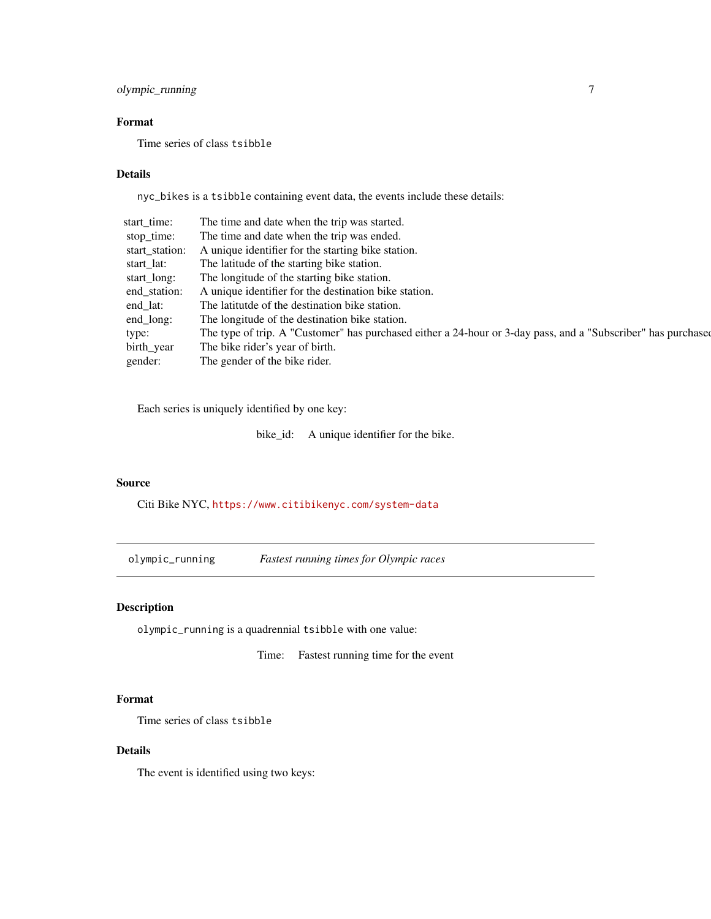# <span id="page-6-0"></span>olympic\_running 7

# Format

Time series of class tsibble

#### Details

nyc\_bikes is a tsibble containing event data, the events include these details:

| start time:    | The time and date when the trip was started.                                                                  |
|----------------|---------------------------------------------------------------------------------------------------------------|
| stop_time:     | The time and date when the trip was ended.                                                                    |
| start_station: | A unique identifier for the starting bike station.                                                            |
| start lat:     | The latitude of the starting bike station.                                                                    |
| start long:    | The longitude of the starting bike station.                                                                   |
| end_station:   | A unique identifier for the destination bike station.                                                         |
| end lat:       | The latitute of the destination bike station.                                                                 |
| end_long:      | The longitude of the destination bike station.                                                                |
| type:          | The type of trip. A "Customer" has purchased either a 24-hour or 3-day pass, and a "Subscriber" has purchased |
| birth_year     | The bike rider's year of birth.                                                                               |
| gender:        | The gender of the bike rider.                                                                                 |

Each series is uniquely identified by one key:

bike\_id: A unique identifier for the bike.

#### Source

Citi Bike NYC, <https://www.citibikenyc.com/system-data>

olympic\_running *Fastest running times for Olympic races*

#### Description

olympic\_running is a quadrennial tsibble with one value:

Time: Fastest running time for the event

### Format

Time series of class tsibble

#### Details

The event is identified using two keys: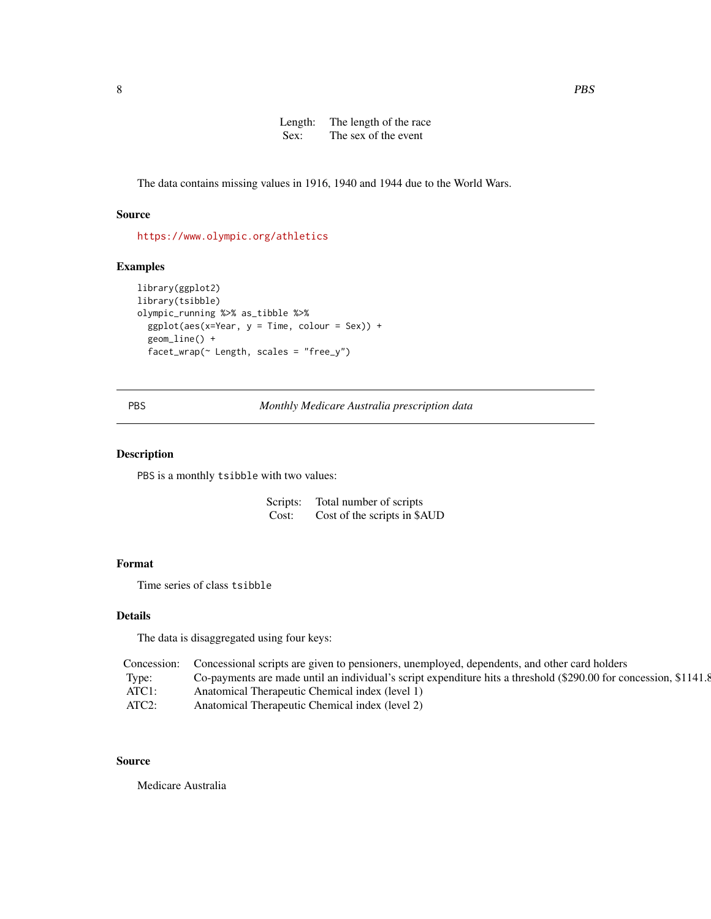Length: The length of the race Sex: The sex of the event

<span id="page-7-0"></span>The data contains missing values in 1916, 1940 and 1944 due to the World Wars.

#### Source

<https://www.olympic.org/athletics>

# Examples

```
library(ggplot2)
library(tsibble)
olympic_running %>% as_tibble %>%
  ggplot(aes(x=Year, y = Time, colour = Sex)) +geom_line() +
  facet_wrap(~ Length, scales = "free_y")
```
PBS *Monthly Medicare Australia prescription data*

#### Description

PBS is a monthly tsibble with two values:

Scripts: Total number of scripts Cost: Cost of the scripts in \$AUD

#### Format

Time series of class tsibble

#### Details

The data is disaggregated using four keys:

| Concession: | Concessional scripts are given to pensioners, unemployed, dependents, and other card holders                      |
|-------------|-------------------------------------------------------------------------------------------------------------------|
| Type:       | Co-payments are made until an individual's script expenditure hits a threshold (\$290.00 for concession, \$1141.8 |
| ATC1:       | Anatomical Therapeutic Chemical index (level 1)                                                                   |
| $ATC2$ :    | Anatomical Therapeutic Chemical index (level 2)                                                                   |

# Source

Medicare Australia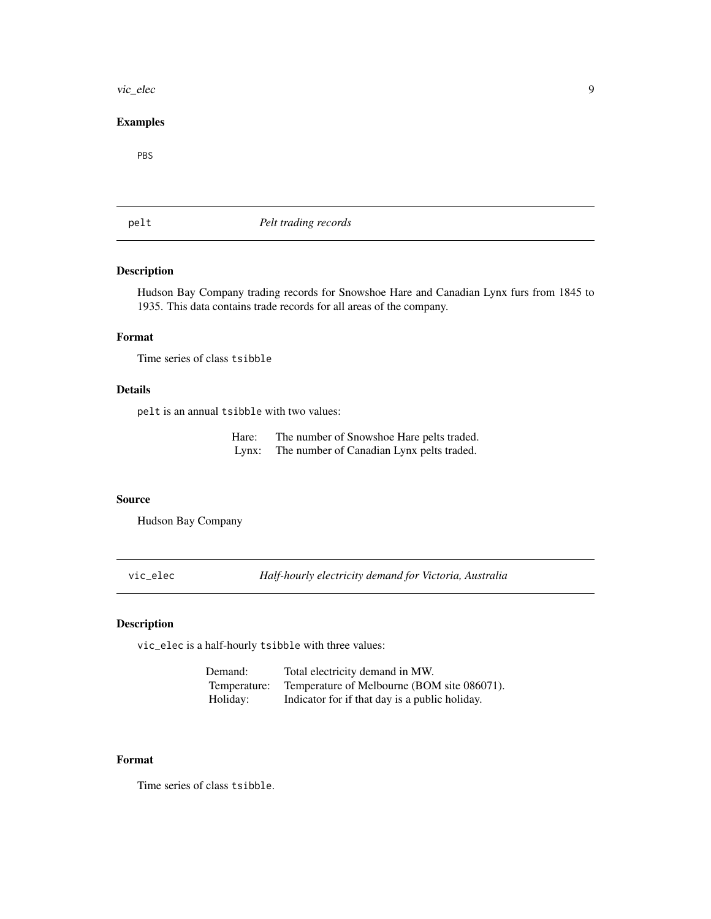#### <span id="page-8-0"></span>vic\_elec 9

# Examples

PBS

pelt *Pelt trading records*

# Description

Hudson Bay Company trading records for Snowshoe Hare and Canadian Lynx furs from 1845 to 1935. This data contains trade records for all areas of the company.

# Format

Time series of class tsibble

# Details

pelt is an annual tsibble with two values:

| Hare: | The number of Snowshoe Hare pelts traded. |
|-------|-------------------------------------------|
| Lynx: | The number of Canadian Lynx pelts traded. |

#### Source

Hudson Bay Company

vic\_elec *Half-hourly electricity demand for Victoria, Australia*

# Description

vic\_elec is a half-hourly tsibble with three values:

| Demand:      | Total electricity demand in MW.                |
|--------------|------------------------------------------------|
| Temperature: | Temperature of Melbourne (BOM site 086071).    |
| Holiday:     | Indicator for if that day is a public holiday. |

# Format

Time series of class tsibble.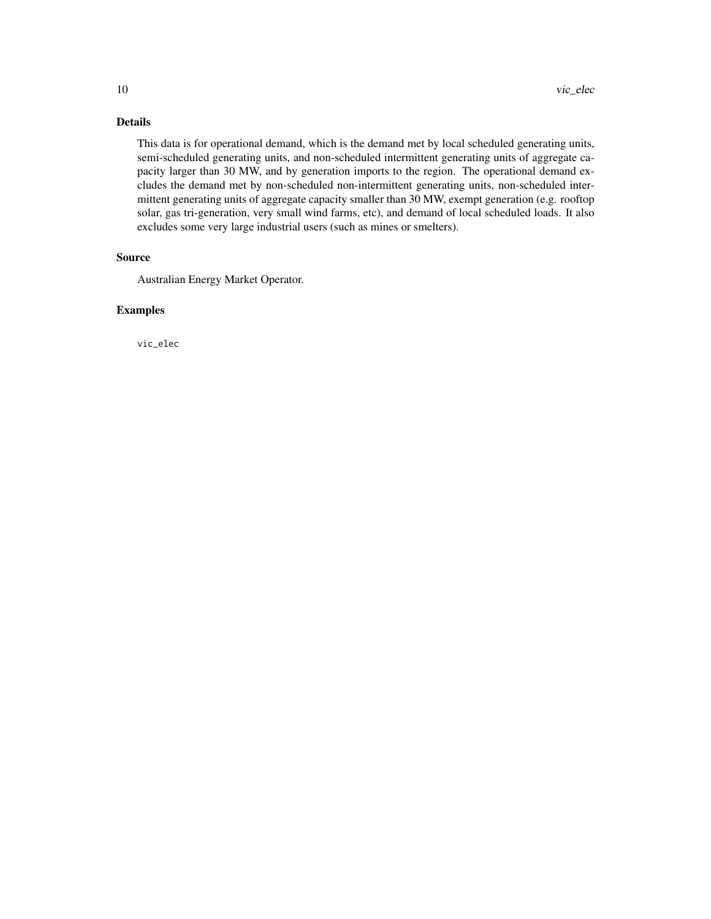# Details

This data is for operational demand, which is the demand met by local scheduled generating units, semi-scheduled generating units, and non-scheduled intermittent generating units of aggregate capacity larger than 30 MW, and by generation imports to the region. The operational demand excludes the demand met by non-scheduled non-intermittent generating units, non-scheduled intermittent generating units of aggregate capacity smaller than 30 MW, exempt generation (e.g. rooftop solar, gas tri-generation, very small wind farms, etc), and demand of local scheduled loads. It also excludes some very large industrial users (such as mines or smelters).

#### Source

Australian Energy Market Operator.

# Examples

vic\_elec